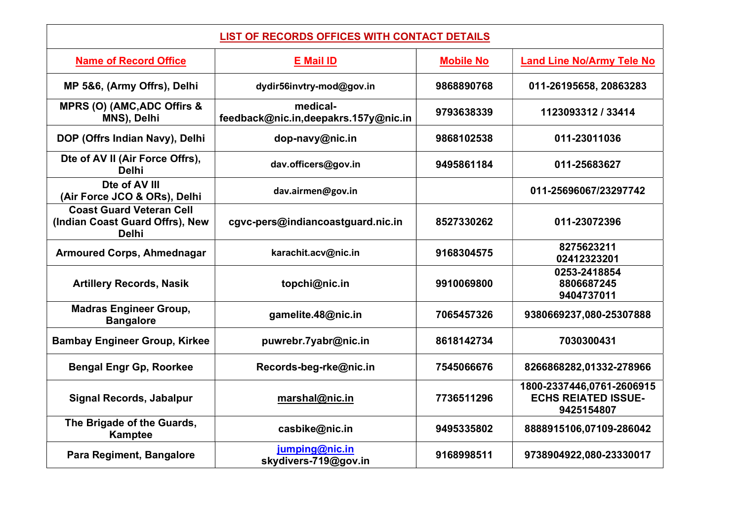| <b>LIST OF RECORDS OFFICES WITH CONTACT DETAILS</b>                                |                                                  |                  |                                                                       |
|------------------------------------------------------------------------------------|--------------------------------------------------|------------------|-----------------------------------------------------------------------|
| <b>Name of Record Office</b>                                                       | <b>E</b> Mail ID                                 | <b>Mobile No</b> | <b>Land Line No/Army Tele No</b>                                      |
| MP 5&6, (Army Offrs), Delhi                                                        | dydir56invtry-mod@gov.in                         | 9868890768       | 011-26195658, 20863283                                                |
| MPRS (O) (AMC, ADC Offirs &<br>MNS), Delhi                                         | medical-<br>feedback@nic.in,deepakrs.157y@nic.in | 9793638339       | 1123093312 / 33414                                                    |
| DOP (Offrs Indian Navy), Delhi                                                     | dop-navy@nic.in                                  | 9868102538       | 011-23011036                                                          |
| Dte of AV II (Air Force Offrs),<br><b>Delhi</b>                                    | dav.officers@gov.in                              | 9495861184       | 011-25683627                                                          |
| Dte of AV III<br>(Air Force JCO & ORs), Delhi                                      | dav.airmen@gov.in                                |                  | 011-25696067/23297742                                                 |
| <b>Coast Guard Veteran Cell</b><br>(Indian Coast Guard Offrs), New<br><b>Delhi</b> | cgvc-pers@indiancoastguard.nic.in                | 8527330262       | 011-23072396                                                          |
| <b>Armoured Corps, Ahmednagar</b>                                                  | karachit.acv@nic.in                              | 9168304575       | 8275623211<br>02412323201                                             |
| <b>Artillery Records, Nasik</b>                                                    | topchi@nic.in                                    | 9910069800       | 0253-2418854<br>8806687245<br>9404737011                              |
| <b>Madras Engineer Group,</b><br><b>Bangalore</b>                                  | gamelite.48@nic.in                               | 7065457326       | 9380669237,080-25307888                                               |
| <b>Bambay Engineer Group, Kirkee</b>                                               | puwrebr.7yabr@nic.in                             | 8618142734       | 7030300431                                                            |
| <b>Bengal Engr Gp, Roorkee</b>                                                     | Records-beg-rke@nic.in                           | 7545066676       | 8266868282,01332-278966                                               |
| <b>Signal Records, Jabalpur</b>                                                    | marshal@nic.in                                   | 7736511296       | 1800-2337446,0761-2606915<br><b>ECHS REIATED ISSUE-</b><br>9425154807 |
| The Brigade of the Guards,<br><b>Kamptee</b>                                       | casbike@nic.in                                   | 9495335802       | 8888915106,07109-286042                                               |
| Para Regiment, Bangalore                                                           | jumping@nic.in<br>skydivers-719@gov.in           | 9168998511       | 9738904922,080-23330017                                               |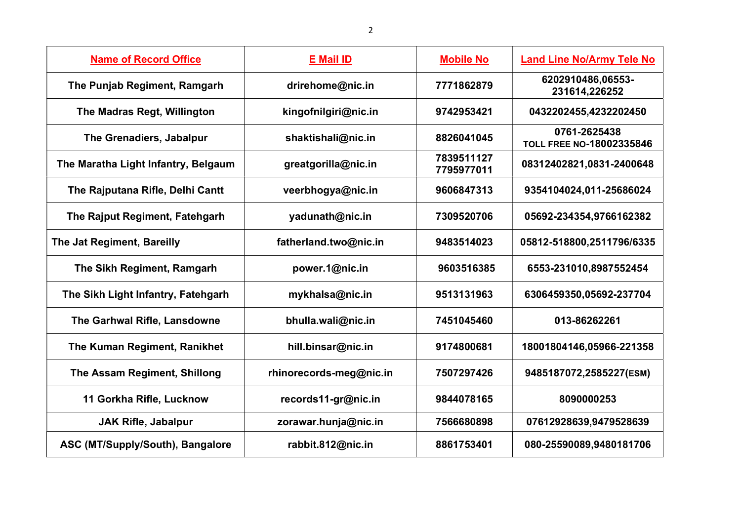| <b>Name of Record Office</b>        | <b>E</b> Mail ID        | <b>Mobile No</b>         | <b>Land Line No/Army Tele No</b>                |
|-------------------------------------|-------------------------|--------------------------|-------------------------------------------------|
| The Punjab Regiment, Ramgarh        | drirehome@nic.in        | 7771862879               | 6202910486,06553-<br>231614,226252              |
| The Madras Regt, Willington         | kingofnilgiri@nic.in    | 9742953421               | 0432202455,4232202450                           |
| The Grenadiers, Jabalpur            | shaktishali@nic.in      | 8826041045               | 0761-2625438<br><b>TOLL FREE NO-18002335846</b> |
| The Maratha Light Infantry, Belgaum | greatgorilla@nic.in     | 7839511127<br>7795977011 | 08312402821,0831-2400648                        |
| The Rajputana Rifle, Delhi Cantt    | veerbhogya@nic.in       | 9606847313               | 9354104024,011-25686024                         |
| The Rajput Regiment, Fatehgarh      | yadunath@nic.in         | 7309520706               | 05692-234354,9766162382                         |
| The Jat Regiment, Bareilly          | fatherland.two@nic.in   | 9483514023               | 05812-518800,2511796/6335                       |
| The Sikh Regiment, Ramgarh          | power.1@nic.in          | 9603516385               | 6553-231010,8987552454                          |
| The Sikh Light Infantry, Fatehgarh  | mykhalsa@nic.in         | 9513131963               | 6306459350,05692-237704                         |
| The Garhwal Rifle, Lansdowne        | bhulla.wali@nic.in      | 7451045460               | 013-86262261                                    |
| The Kuman Regiment, Ranikhet        | hill.binsar@nic.in      | 9174800681               | 18001804146,05966-221358                        |
| The Assam Regiment, Shillong        | rhinorecords-meg@nic.in | 7507297426               | 9485187072,2585227(ESM)                         |
| 11 Gorkha Rifle, Lucknow            | records11-gr@nic.in     | 9844078165               | 8090000253                                      |
| <b>JAK Rifle, Jabalpur</b>          | zorawar.hunja@nic.in    | 7566680898               | 07612928639,9479528639                          |
| ASC (MT/Supply/South), Bangalore    | rabbit.812@nic.in       | 8861753401               | 080-25590089,9480181706                         |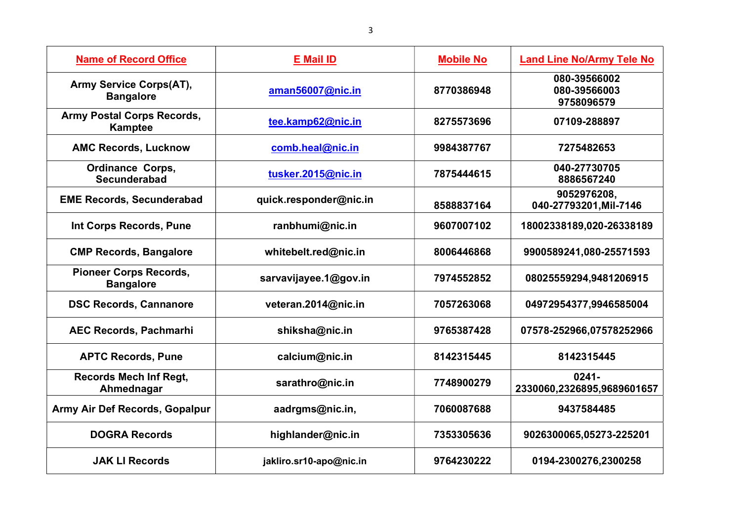| <b>Name of Record Office</b>                        | <b>E</b> Mail ID        | <b>Mobile No</b> | <b>Land Line No/Army Tele No</b>           |
|-----------------------------------------------------|-------------------------|------------------|--------------------------------------------|
| Army Service Corps(AT),<br><b>Bangalore</b>         | aman56007@nic.in        | 8770386948       | 080-39566002<br>080-39566003<br>9758096579 |
| <b>Army Postal Corps Records,</b><br><b>Kamptee</b> | tee.kamp62@nic.in       | 8275573696       | 07109-288897                               |
| <b>AMC Records, Lucknow</b>                         | comb.heal@nic.in        | 9984387767       | 7275482653                                 |
| <b>Ordinance Corps,</b><br><b>Secunderabad</b>      | tusker.2015@nic.in      | 7875444615       | 040-27730705<br>8886567240                 |
| <b>EME Records, Secunderabad</b>                    | quick.responder@nic.in  | 8588837164       | 9052976208,<br>040-27793201, Mil-7146      |
| Int Corps Records, Pune                             | ranbhumi@nic.in         | 9607007102       | 18002338189,020-26338189                   |
| <b>CMP Records, Bangalore</b>                       | whitebelt.red@nic.in    | 8006446868       | 9900589241,080-25571593                    |
| <b>Pioneer Corps Records,</b><br><b>Bangalore</b>   | sarvavijayee.1@gov.in   | 7974552852       | 08025559294,9481206915                     |
| <b>DSC Records, Cannanore</b>                       | veteran.2014@nic.in     | 7057263068       | 04972954377,9946585004                     |
| <b>AEC Records, Pachmarhi</b>                       | shiksha@nic.in          | 9765387428       | 07578-252966,07578252966                   |
| <b>APTC Records, Pune</b>                           | calcium@nic.in          | 8142315445       | 8142315445                                 |
| <b>Records Mech Inf Regt,</b><br>Ahmednagar         | sarathro@nic.in         | 7748900279       | $0241 -$<br>2330060,2326895,9689601657     |
| Army Air Def Records, Gopalpur                      | aadrgms@nic.in,         | 7060087688       | 9437584485                                 |
| <b>DOGRA Records</b>                                | highlander@nic.in       | 7353305636       | 9026300065,05273-225201                    |
| <b>JAK LI Records</b>                               | jakliro.sr10-apo@nic.in | 9764230222       | 0194-2300276,2300258                       |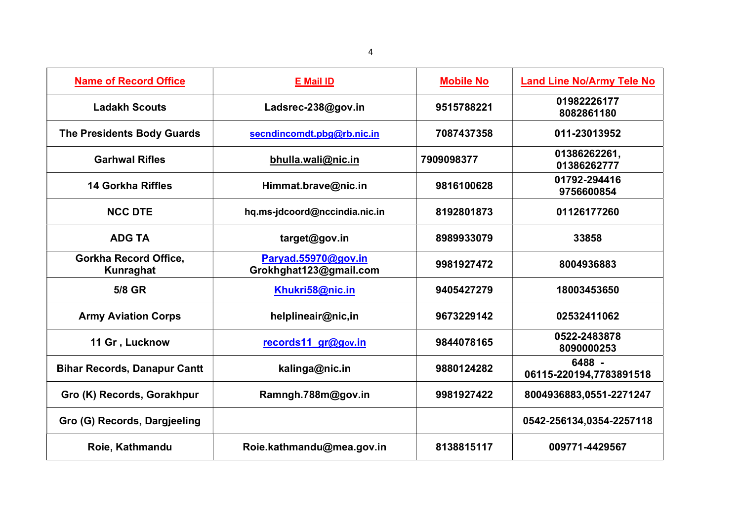| <b>Name of Record Office</b>                     | <b>E</b> Mail ID                              | <b>Mobile No</b> | <b>Land Line No/Army Tele No</b>  |
|--------------------------------------------------|-----------------------------------------------|------------------|-----------------------------------|
| <b>Ladakh Scouts</b>                             | Ladsrec-238@gov.in                            | 9515788221       | 01982226177<br>8082861180         |
| <b>The Presidents Body Guards</b>                | secndincomdt.pbg@rb.nic.in                    | 7087437358       | 011-23013952                      |
| <b>Garhwal Rifles</b>                            | bhulla.wali@nic.in                            | 7909098377       | 01386262261,<br>01386262777       |
| <b>14 Gorkha Riffles</b>                         | Himmat.brave@nic.in                           | 9816100628       | 01792-294416<br>9756600854        |
| <b>NCC DTE</b>                                   | hq.ms-jdcoord@nccindia.nic.in                 | 8192801873       | 01126177260                       |
| <b>ADG TA</b>                                    | target@gov.in                                 | 8989933079       | 33858                             |
| <b>Gorkha Record Office,</b><br><b>Kunraghat</b> | Paryad.55970@gov.in<br>Grokhghat123@gmail.com | 9981927472       | 8004936883                        |
| 5/8 GR                                           | Khukri58@nic.in                               | 9405427279       | 18003453650                       |
| <b>Army Aviation Corps</b>                       | helplineair@nic,in                            | 9673229142       | 02532411062                       |
| 11 Gr, Lucknow                                   | records11 gr@gov.in                           | 9844078165       | 0522-2483878<br>8090000253        |
| <b>Bihar Records, Danapur Cantt</b>              | kalinga@nic.in                                | 9880124282       | 6488 -<br>06115-220194,7783891518 |
| Gro (K) Records, Gorakhpur                       | Ramngh.788m@gov.in                            | 9981927422       | 8004936883,0551-2271247           |
| Gro (G) Records, Dargjeeling                     |                                               |                  | 0542-256134,0354-2257118          |
| Roie, Kathmandu                                  | Roie.kathmandu@mea.gov.in                     | 8138815117       | 009771-4429567                    |